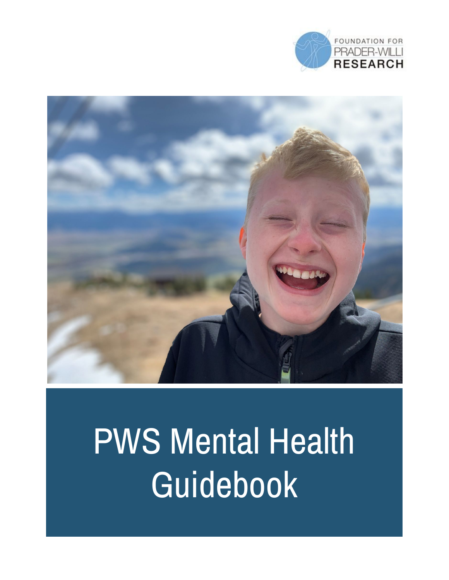



# PWS Mental Health Guidebook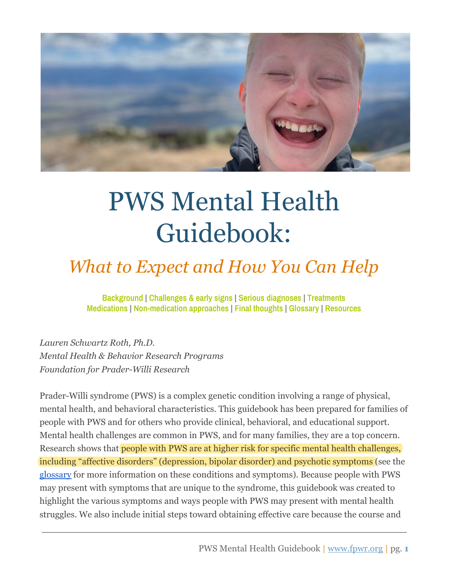

## PWS Mental Health Guidebook:

### *What to Expect and How You Can Help*

**[Background](#page-2-0) | [Challenges](#page-4-0) & early signs | Serious [diagnoses](#page-10-0) | [Treatments](#page-13-0) [Medications](#page-15-0) | [Non-medication](#page-18-0) approaches | Final [thoughts](#page-22-0) | [Glossary](#page-23-0) | [Resources](#page-24-0)**

*Lauren Schwartz Roth, Ph.D. Mental Health & Behavior Research Programs Foundation for Prader-Willi Research*

Prader-Willi syndrome (PWS) is a complex genetic condition involving a range of physical, mental health, and behavioral characteristics. This guidebook has been prepared for families of people with PWS and for others who provide clinical, behavioral, and educational support. Mental health challenges are common in PWS, and for many families, they are a top concern. Research shows that people with PWS are at higher risk for specific mental health challenges, including "affective disorders" (depression, bipolar disorder) and psychotic symptoms (see the [glossary](#page-23-0) for more information on these conditions and symptoms). Because people with PWS may present with symptoms that are unique to the syndrome, this guidebook was created to highlight the various symptoms and ways people with PWS may present with mental health struggles. We also include initial steps toward obtaining effective care because the course and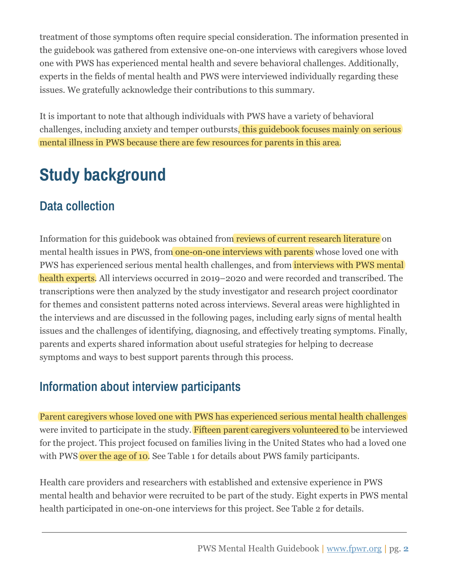treatment of those symptoms often require special consideration. The information presented in the guidebook was gathered from extensive one-on-one interviews with caregivers whose loved one with PWS has experienced mental health and severe behavioral challenges. Additionally, experts in the fields of mental health and PWS were interviewed individually regarding these issues. We gratefully acknowledge their contributions to this summary.

It is important to note that although individuals with PWS have a variety of behavioral challenges, including anxiety and temper outbursts, this guidebook focuses mainly on serious mental illness in PWS because there are few resources for parents in this area.

### <span id="page-2-0"></span>**Study background**

### **Data collection**

Information for this guidebook was obtained from reviews of current research literature on mental health issues in PWS, from one-on-one interviews with parents whose loved one with PWS has experienced serious mental health challenges, and from **interviews with PWS mental** health experts. All interviews occurred in 2019–2020 and were recorded and transcribed. The transcriptions were then analyzed by the study investigator and research project coordinator for themes and consistent patterns noted across interviews. Several areas were highlighted in the interviews and are discussed in the following pages, including early signs of mental health issues and the challenges of identifying, diagnosing, and effectively treating symptoms. Finally, parents and experts shared information about useful strategies for helping to decrease symptoms and ways to best support parents through this process.

### **Information about interview participants**

Parent caregivers whose loved one with PWS has experienced serious mental health challenges were invited to participate in the study. Fifteen parent caregivers volunteered to be interviewed for the project. This project focused on families living in the United States who had a loved one with PWS over the age of 10. See Table 1 for details about PWS family participants.

Health care providers and researchers with established and extensive experience in PWS mental health and behavior were recruited to be part of the study. Eight experts in PWS mental health participated in one-on-one interviews for this project. See Table 2 for details.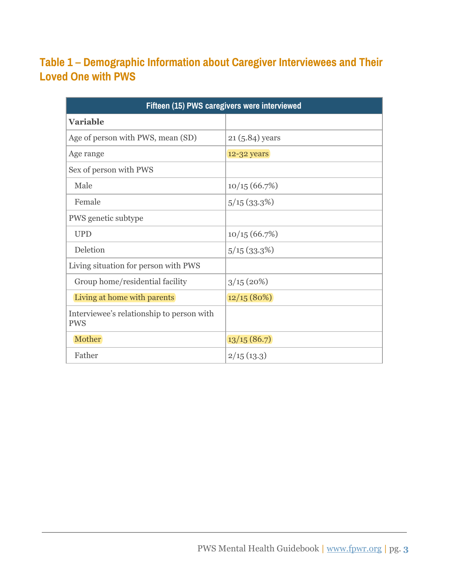#### **Table 1 – Demographic Information about Caregiver Interviewees and Their Loved One with PWS**

| Fifteen (15) PWS caregivers were interviewed            |                  |  |
|---------------------------------------------------------|------------------|--|
| <b>Variable</b>                                         |                  |  |
| Age of person with PWS, mean (SD)                       | $21(5.84)$ years |  |
| Age range                                               | 12-32 years      |  |
| Sex of person with PWS                                  |                  |  |
| Male                                                    | 10/15(66.7%)     |  |
| Female                                                  | 5/15(33.3%)      |  |
| PWS genetic subtype                                     |                  |  |
| <b>UPD</b>                                              | 10/15(66.7%)     |  |
| Deletion                                                | 5/15(33.3%)      |  |
| Living situation for person with PWS                    |                  |  |
| Group home/residential facility                         | 3/15(20%)        |  |
| Living at home with parents                             | 12/15(80%)       |  |
| Interviewee's relationship to person with<br><b>PWS</b> |                  |  |
| Mother                                                  | 13/15(86.7)      |  |
| Father                                                  | 2/15(13.3)       |  |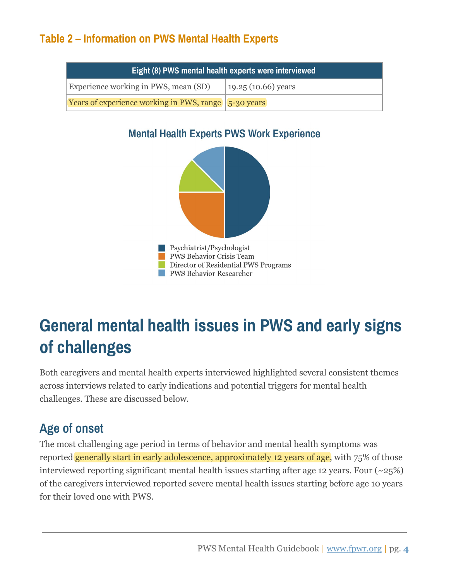#### **Table 2 – Information on PWS Mental Health Experts**

| Eight (8) PWS mental health experts were interviewed |                      |  |
|------------------------------------------------------|----------------------|--|
| Experience working in PWS, mean (SD)                 | $19.25(10.66)$ years |  |
| Years of experience working in PWS, range 5-30 years |                      |  |

#### **Mental Health Experts PWS Work Experience**



### <span id="page-4-0"></span>**General mental health issues in PWS and early signs of challenges**

Both caregivers and mental health experts interviewed highlighted several consistent themes across interviews related to early indications and potential triggers for mental health challenges. These are discussed below.

### **Age of onset**

The most challenging age period in terms of behavior and mental health symptoms was reported generally start in early adolescence, approximately 12 years of age, with 75% of those interviewed reporting significant mental health issues starting after age 12 years. Four  $(\sim 25\%)$ of the caregivers interviewed reported severe mental health issues starting before age 10 years for their loved one with PWS.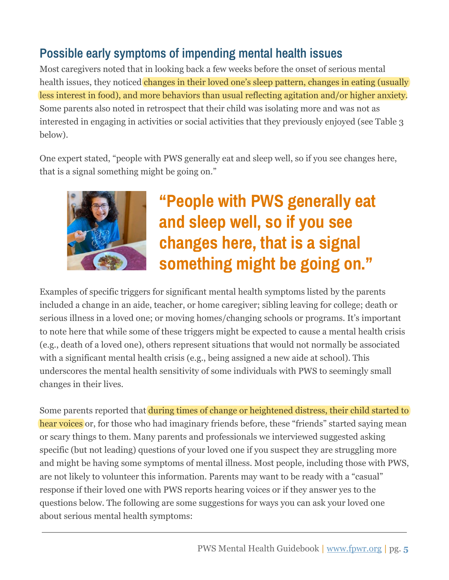### **Possible early symptoms of impending mental health issues**

Most caregivers noted that in looking back a few weeks before the onset of serious mental health issues, they noticed changes in their loved one's sleep pattern, changes in eating (usually) less interest in food), and more behaviors than usual reflecting agitation and/or higher anxiety. Some parents also noted in retrospect that their child was isolating more and was not as interested in engaging in activities or social activities that they previously enjoyed (see Table 3 below).

One expert stated, "people with PWS generally eat and sleep well, so if you see changes here, that is a signal something might be going on."



### **"People with PWS generally eat and sleep well, so if you see changes here, that is a signal something might be going on."**

Examples of specific triggers for significant mental health symptoms listed by the parents included a change in an aide, teacher, or home caregiver; sibling leaving for college; death or serious illness in a loved one; or moving homes/changing schools or programs. It's important to note here that while some of these triggers might be expected to cause a mental health crisis (e.g., death of a loved one), others represent situations that would not normally be associated with a significant mental health crisis (e.g., being assigned a new aide at school). This underscores the mental health sensitivity of some individuals with PWS to seemingly small changes in their lives.

Some parents reported that during times of change or heightened distress, their child started to hear voices or, for those who had imaginary friends before, these "friends" started saying mean or scary things to them. Many parents and professionals we interviewed suggested asking specific (but not leading) questions of your loved one if you suspect they are struggling more and might be having some symptoms of mental illness. Most people, including those with PWS, are not likely to volunteer this information. Parents may want to be ready with a "casual" response if their loved one with PWS reports hearing voices or if they answer yes to the questions below. The following are some suggestions for ways you can ask your loved one about serious mental health symptoms: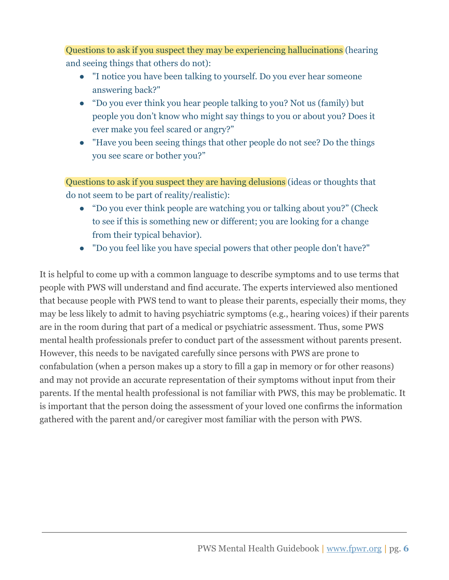Questions to ask if you suspect they may be experiencing hallucinations (hearing and seeing things that others do not):

- "I notice you have been talking to yourself. Do you ever hear someone answering back?"
- "Do you ever think you hear people talking to you? Not us (family) but people you don't know who might say things to you or about you? Does it ever make you feel scared or angry?"
- "Have you been seeing things that other people do not see? Do the things you see scare or bother you?"

Questions to ask if you suspect they are having delusions (ideas or thoughts that do not seem to be part of reality/realistic):

- "Do you ever think people are watching you or talking about you?" (Check to see if this is something new or different; you are looking for a change from their typical behavior).
- "Do you feel like you have special powers that other people don't have?"

It is helpful to come up with a common language to describe symptoms and to use terms that people with PWS will understand and find accurate. The experts interviewed also mentioned that because people with PWS tend to want to please their parents, especially their moms, they may be less likely to admit to having psychiatric symptoms (e.g., hearing voices) if their parents are in the room during that part of a medical or psychiatric assessment. Thus, some PWS mental health professionals prefer to conduct part of the assessment without parents present. However, this needs to be navigated carefully since persons with PWS are prone to confabulation (when a person makes up a story to fill a gap in memory or for other reasons) and may not provide an accurate representation of their symptoms without input from their parents. If the mental health professional is not familiar with PWS, this may be problematic. It is important that the person doing the assessment of your loved one confirms the information gathered with the parent and/or caregiver most familiar with the person with PWS.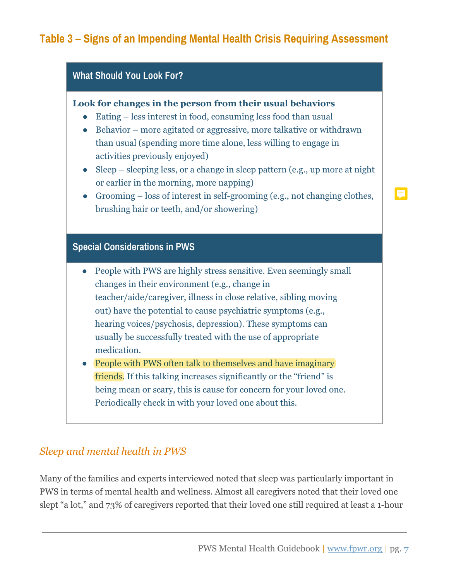#### **Table 3 – Signs of an Impending Mental Health Crisis Requiring Assessment**



#### *Sleep and mental health in PWS*

Many of the families and experts interviewed noted that sleep was particularly important in PWS in terms of mental health and wellness. Almost all caregivers noted that their loved one slept "a lot," and 73% of caregivers reported that their loved one still required at least a 1-hour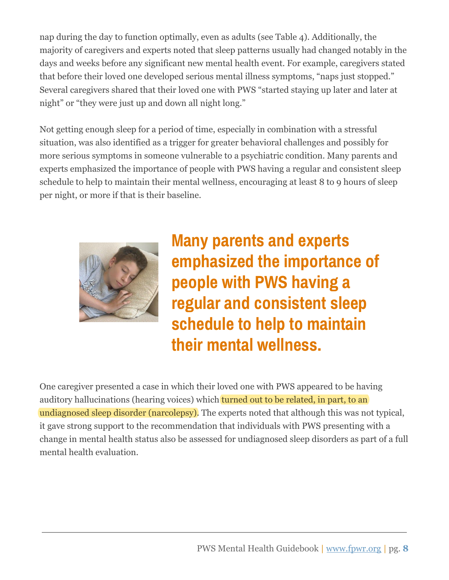nap during the day to function optimally, even as adults (see Table 4). Additionally, the majority of caregivers and experts noted that sleep patterns usually had changed notably in the days and weeks before any significant new mental health event. For example, caregivers stated that before their loved one developed serious mental illness symptoms, "naps just stopped." Several caregivers shared that their loved one with PWS "started staying up later and later at night" or "they were just up and down all night long."

Not getting enough sleep for a period of time, especially in combination with a stressful situation, was also identified as a trigger for greater behavioral challenges and possibly for more serious symptoms in someone vulnerable to a psychiatric condition. Many parents and experts emphasized the importance of people with PWS having a regular and consistent sleep schedule to help to maintain their mental wellness, encouraging at least 8 to 9 hours of sleep per night, or more if that is their baseline.



**Many parents and experts emphasized the importance of people with PWS having a regular and consistent sleep schedule to help to maintain their mental wellness.**

One caregiver presented a case in which their loved one with PWS appeared to be having auditory hallucinations (hearing voices) which turned out to be related, in part, to an undiagnosed sleep disorder (narcolepsy). The experts noted that although this was not typical, it gave strong support to the recommendation that individuals with PWS presenting with a change in mental health status also be assessed for undiagnosed sleep disorders as part of a full mental health evaluation.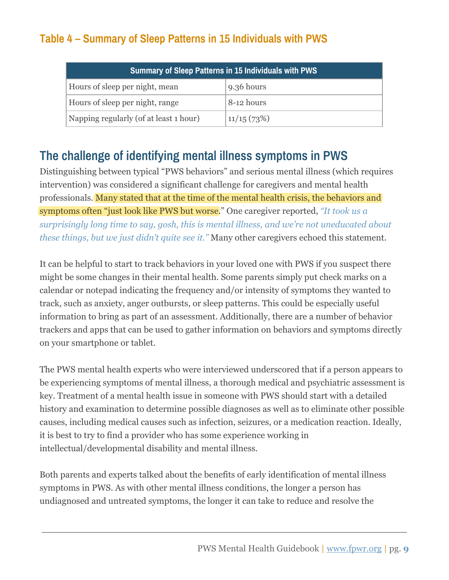### **Table 4 – Summary of Sleep Patterns in 15 Individuals with PWS**

| <b>Summary of Sleep Patterns in 15 Individuals with PWS</b> |            |  |
|-------------------------------------------------------------|------------|--|
| Hours of sleep per night, mean                              | 9.36 hours |  |
| Hours of sleep per night, range                             | 8-12 hours |  |
| Napping regularly (of at least 1 hour)                      | 11/15(73%) |  |

### **The challenge of identifying mental illness symptoms in PWS**

Distinguishing between typical "PWS behaviors" and serious mental illness (which requires intervention) was considered a significant challenge for caregivers and mental health professionals. Many stated that at the time of the mental health crisis, the behaviors and symptoms often "just look like PWS but worse." One caregiver reported, *"It took us a surprisingly long time to say, gosh, this is mental illness, and we're not uneducated about these things, but we just didn't quite see it."* Many other caregivers echoed this statement.

It can be helpful to start to track behaviors in your loved one with PWS if you suspect there might be some changes in their mental health. Some parents simply put check marks on a calendar or notepad indicating the frequency and/or intensity of symptoms they wanted to track, such as anxiety, anger outbursts, or sleep patterns. This could be especially useful information to bring as part of an assessment. Additionally, there are a number of behavior trackers and apps that can be used to gather information on behaviors and symptoms directly on your smartphone or tablet.

The PWS mental health experts who were interviewed underscored that if a person appears to be experiencing symptoms of mental illness, a thorough medical and psychiatric assessment is key. Treatment of a mental health issue in someone with PWS should start with a detailed history and examination to determine possible diagnoses as well as to eliminate other possible causes, including medical causes such as infection, seizures, or a medication reaction. Ideally, it is best to try to find a provider who has some experience working in intellectual/developmental disability and mental illness.

Both parents and experts talked about the benefits of early identification of mental illness symptoms in PWS. As with other mental illness conditions, the longer a person has undiagnosed and untreated symptoms, the longer it can take to reduce and resolve the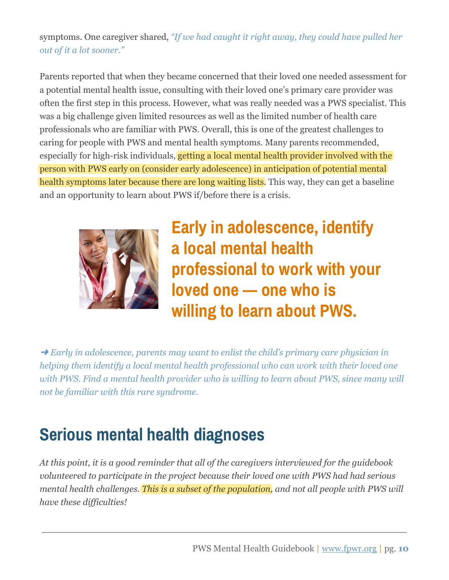#### symptoms. One caregiver shared, *"If we had caught it right away, they could have pulled her out of it a lot sooner."*

Parents reported that when they became concerned that their loved one needed assessment for a potential mental health issue, consulting with their loved one's primary care provider was often the first step in this process. However, what was really needed was a PWS specialist. This was a big challenge given limited resources as well as the limited number of health care professionals who are familiar with PWS. Overall, this is one of the greatest challenges to caring for people with PWS and mental health symptoms. Many parents recommended, especially for high-risk individuals, getting a local mental health provider involved with the person with PWS early on (consider early adolescence) in anticipation of potential mental health symptoms later because there are long waiting lists. This way, they can get a baseline and an opportunity to learn about PWS if/before there is a crisis.



**Early in adolescence, identify a local mental health professional to work with your loved one — one who is willing to learn about PWS.**

➜ *Early in adolescence, parents may want to enlist the child's primary care physician in helping them identify a local mental health professional who can work with their loved one* with PWS. Find a mental health provider who is willing to learn about PWS, since many will *not be familiar with this rare syndrome.*

### <span id="page-10-0"></span>**Serious mental health diagnoses**

*At this point, it is a good reminder that all of the caregivers interviewed for the guidebook volunteered to participate in the project because their loved one with PWS had had serious mental health challenges. This is a subset of the population, and not all people with PWS will have these difficulties!*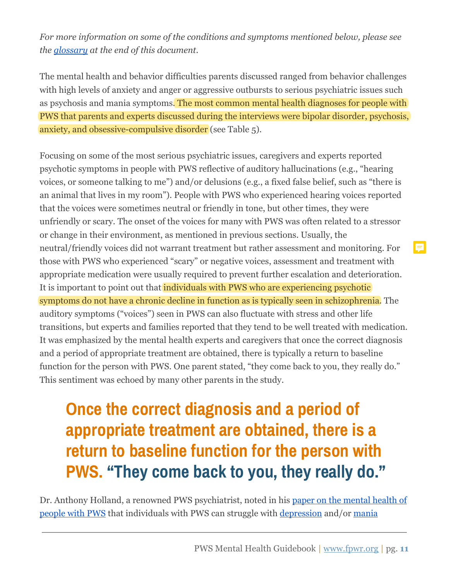*For more information on some of the conditions and symptoms mentioned below, please see the [glossary](#page-23-0) at the end of this document.*

The mental health and behavior difficulties parents discussed ranged from behavior challenges with high levels of anxiety and anger or aggressive outbursts to serious psychiatric issues such as psychosis and mania symptoms. The most common mental health diagnoses for people with PWS that parents and experts discussed during the interviews were bipolar disorder, psychosis, anxiety, and obsessive-compulsive disorder (see Table 5).

Focusing on some of the most serious psychiatric issues, caregivers and experts reported psychotic symptoms in people with PWS reflective of auditory hallucinations (e.g., "hearing voices, or someone talking to me") and/or delusions (e.g., a fixed false belief, such as "there is an animal that lives in my room"). People with PWS who experienced hearing voices reported that the voices were sometimes neutral or friendly in tone, but other times, they were unfriendly or scary. The onset of the voices for many with PWS was often related to a stressor or change in their environment, as mentioned in previous sections. Usually, the neutral/friendly voices did not warrant treatment but rather assessment and monitoring. For those with PWS who experienced "scary" or negative voices, assessment and treatment with appropriate medication were usually required to prevent further escalation and deterioration. It is important to point out that individuals with PWS who are experiencing psychotic symptoms do not have a chronic decline in function as is typically seen in schizophrenia. The auditory symptoms ("voices") seen in PWS can also fluctuate with stress and other life transitions, but experts and families reported that they tend to be well treated with medication. It was emphasized by the mental health experts and caregivers that once the correct diagnosis and a period of appropriate treatment are obtained, there is typically a return to baseline function for the person with PWS. One parent stated, "they come back to you, they really do." This sentiment was echoed by many other parents in the study.

### **Once the correct diagnosis and a period of appropriate treatment are obtained, there is a return to baseline function for the person with PWS. "They come back to you, they really do."**

Dr. Anthony Holland, a renowned PWS psychiatrist, noted in his [paper on the mental health of](https://www.ipwso.org/mental-health-in-pws) [people with PWS](https://www.ipwso.org/mental-health-in-pws) that individuals with PWS can struggle with [depression](#page-24-1) and/or [mania](#page-24-2)

F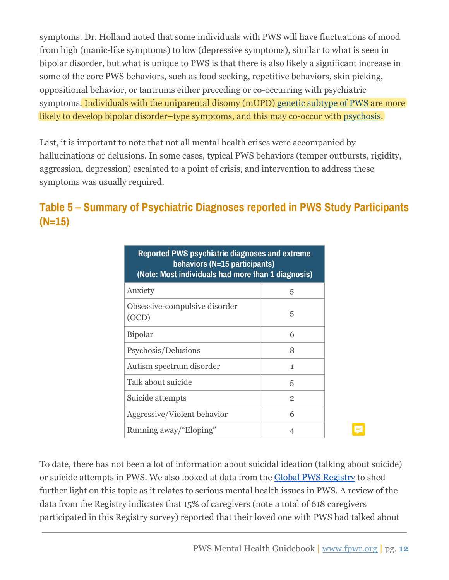symptoms. Dr. Holland noted that some individuals with PWS will have fluctuations of mood from high (manic-like symptoms) to low (depressive symptoms), similar to what is seen in bipolar disorder, but what is unique to PWS is that there is also likely a significant increase in some of the core PWS behaviors, such as food seeking, repetitive behaviors, skin picking, oppositional behavior, or tantrums either preceding or co-occurring with psychiatric symptoms. Individuals with the uniparental disomy (mUPD) [genetic subtype of PWS](#page-23-1) are more likely to develop bipolar disorder–type symptoms, and this may co-occur with [psychosis.](#page-23-2)

Last, it is important to note that not all mental health crises were accompanied by hallucinations or delusions. In some cases, typical PWS behaviors (temper outbursts, rigidity, aggression, depression) escalated to a point of crisis, and intervention to address these symptoms was usually required.

### **Table 5 – Summary of Psychiatric Diagnoses reported in PWS Study Participants (N=15)**

| Reported PWS psychiatric diagnoses and extreme<br>behaviors (N=15 participants)<br>(Note: Most individuals had more than 1 diagnosis) |                |  |
|---------------------------------------------------------------------------------------------------------------------------------------|----------------|--|
| Anxiety                                                                                                                               | 5              |  |
| Obsessive-compulsive disorder<br>(OCD)                                                                                                | 5              |  |
| <b>Bipolar</b>                                                                                                                        | 6              |  |
| Psychosis/Delusions                                                                                                                   | 8              |  |
| Autism spectrum disorder                                                                                                              | 1              |  |
| Talk about suicide                                                                                                                    | 5              |  |
| Suicide attempts                                                                                                                      | $\overline{2}$ |  |
| Aggressive/Violent behavior                                                                                                           | 6              |  |
| Running away/"Eloping"                                                                                                                |                |  |

To date, there has not been a lot of information about suicidal ideation (talking about suicide) or suicide attempts in PWS. We also looked at data from the [Global PWS Registry](https://www.fpwr.org/the-global-pws-registry-empowering-families-advancing-research) to shed further light on this topic as it relates to serious mental health issues in PWS. A review of the data from the Registry indicates that 15% of caregivers (note a total of 618 caregivers participated in this Registry survey) reported that their loved one with PWS had talked about

E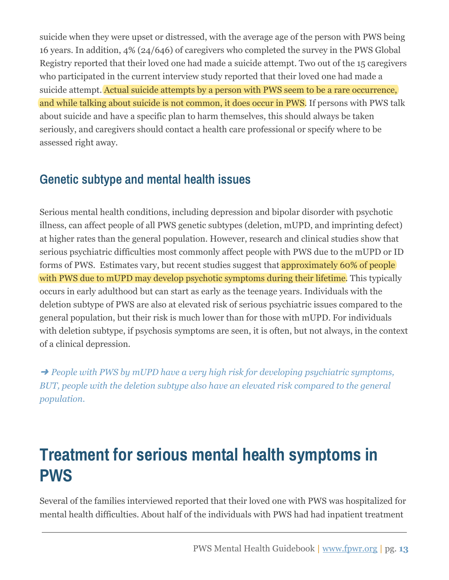suicide when they were upset or distressed, with the average age of the person with PWS being 16 years. In addition, 4% (24/646) of caregivers who completed the survey in the PWS Global Registry reported that their loved one had made a suicide attempt. Two out of the 15 caregivers who participated in the current interview study reported that their loved one had made a suicide attempt. Actual suicide attempts by a person with PWS seem to be a rare occurrence, and while talking about suicide is not common, it does occur in PWS. If persons with PWS talk about suicide and have a specific plan to harm themselves, this should always be taken seriously, and caregivers should contact a health care professional or specify where to be assessed right away.

### **Genetic subtype and mental health issues**

Serious mental health conditions, including depression and bipolar disorder with psychotic illness, can affect people of all PWS genetic subtypes (deletion, mUPD, and imprinting defect) at higher rates than the general population. However, research and clinical studies show that serious psychiatric difficulties most commonly affect people with PWS due to the mUPD or ID forms of PWS. Estimates vary, but recent studies suggest that approximately 60% of people with PWS due to mUPD may develop psychotic symptoms during their lifetime. This typically occurs in early adulthood but can start as early as the teenage years. Individuals with the deletion subtype of PWS are also at elevated risk of serious psychiatric issues compared to the general population, but their risk is much lower than for those with mUPD. For individuals with deletion subtype, if psychosis symptoms are seen, it is often, but not always, in the context of a clinical depression.

➜ *People with PWS by mUPD have a very high risk for developing psychiatric symptoms, BUT, people with the deletion subtype also have an elevated risk compared to the general population.*

### <span id="page-13-0"></span>**Treatment for serious mental health symptoms in PWS**

Several of the families interviewed reported that their loved one with PWS was hospitalized for mental health difficulties. About half of the individuals with PWS had had inpatient treatment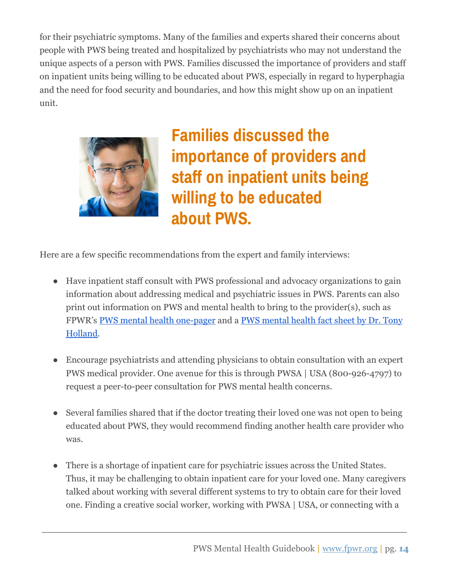for their psychiatric symptoms. Many of the families and experts shared their concerns about people with PWS being treated and hospitalized by psychiatrists who may not understand the unique aspects of a person with PWS. Families discussed the importance of providers and staff on inpatient units being willing to be educated about PWS, especially in regard to hyperphagia and the need for food security and boundaries, and how this might show up on an inpatient unit.



**Families discussed the importance of providers and staff on inpatient units being willing to be educated about PWS.**

Here are a few specific recommendations from the expert and family interviews:

- Have inpatient staff consult with PWS professional and advocacy organizations to gain information about addressing medical and psychiatric issues in PWS. Parents can also print out information on PWS and mental health to bring to the provider(s), such as FPWR's [PWS mental health one-pager](https://www.fpwr.org/pws-mental-health-guidebook) and a [PWS mental health fact sheet by Dr. Tony](https://www.ipwso.org/mental-health-in-pws) [Holland.](https://www.ipwso.org/mental-health-in-pws)
- Encourage psychiatrists and attending physicians to obtain consultation with an expert PWS medical provider. One avenue for this is through PWSA | USA (800-926-4797) to request a peer-to-peer consultation for PWS mental health concerns.
- Several families shared that if the doctor treating their loved one was not open to being educated about PWS, they would recommend finding another health care provider who was.
- There is a shortage of inpatient care for psychiatric issues across the United States. Thus, it may be challenging to obtain inpatient care for your loved one. Many caregivers talked about working with several different systems to try to obtain care for their loved one. Finding a creative social worker, working with PWSA | USA, or connecting with a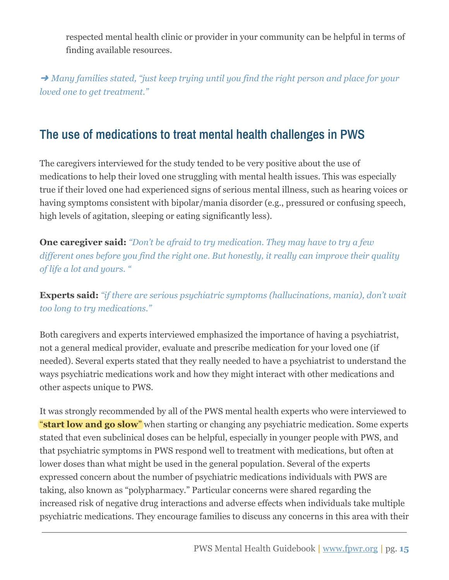respected mental health clinic or provider in your community can be helpful in terms of finding available resources.

➜ *Many families stated, "just keep trying until you find the right person and place for your loved one to get treatment."*

### <span id="page-15-0"></span>**The use of medications to treat mental health challenges in PWS**

The caregivers interviewed for the study tended to be very positive about the use of medications to help their loved one struggling with mental health issues. This was especially true if their loved one had experienced signs of serious mental illness, such as hearing voices or having symptoms consistent with bipolar/mania disorder (e.g., pressured or confusing speech, high levels of agitation, sleeping or eating significantly less).

**One caregiver said:** *"Don't be afraid to try medication. They may have to try a few different ones before you find the right one. But honestly, it really can improve their quality of life a lot and yours. "*

**Experts said:** *"if there are serious psychiatric symptoms (hallucinations, mania), don't wait too long to try medications."*

Both caregivers and experts interviewed emphasized the importance of having a psychiatrist, not a general medical provider, evaluate and prescribe medication for your loved one (if needed). Several experts stated that they really needed to have a psychiatrist to understand the ways psychiatric medications work and how they might interact with other medications and other aspects unique to PWS.

It was strongly recommended by all of the PWS mental health experts who were interviewed to "**start low and go slow**" when starting or changing any psychiatric medication. Some experts stated that even subclinical doses can be helpful, especially in younger people with PWS, and that psychiatric symptoms in PWS respond well to treatment with medications, but often at lower doses than what might be used in the general population. Several of the experts expressed concern about the number of psychiatric medications individuals with PWS are taking, also known as "polypharmacy." Particular concerns were shared regarding the increased risk of negative drug interactions and adverse effects when individuals take multiple psychiatric medications. They encourage families to discuss any concerns in this area with their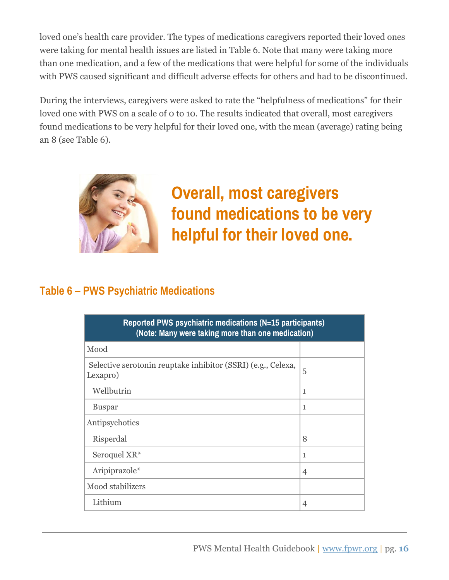loved one's health care provider. The types of medications caregivers reported their loved ones were taking for mental health issues are listed in Table 6. Note that many were taking more than one medication, and a few of the medications that were helpful for some of the individuals with PWS caused significant and difficult adverse effects for others and had to be discontinued.

During the interviews, caregivers were asked to rate the "helpfulness of medications" for their loved one with PWS on a scale of 0 to 10. The results indicated that overall, most caregivers found medications to be very helpful for their loved one, with the mean (average) rating being an 8 (see Table 6).



**Overall, most caregivers found medications to be very helpful for their loved one.**

#### **Table 6 – PWS Psychiatric Medications**

| Reported PWS psychiatric medications (N=15 participants)<br>(Note: Many were taking more than one medication) |                |  |
|---------------------------------------------------------------------------------------------------------------|----------------|--|
| Mood                                                                                                          |                |  |
| Selective serotonin reuptake inhibitor (SSRI) (e.g., Celexa,<br>Lexapro)                                      | 5              |  |
| Wellbutrin                                                                                                    | $\mathbf{1}$   |  |
| <b>Buspar</b>                                                                                                 | 1              |  |
| Antipsychotics                                                                                                |                |  |
| Risperdal                                                                                                     | 8              |  |
| Seroquel XR*                                                                                                  | $\mathbf{1}$   |  |
| Aripiprazole*                                                                                                 | $\overline{4}$ |  |
| Mood stabilizers                                                                                              |                |  |
| Lithium                                                                                                       | 4              |  |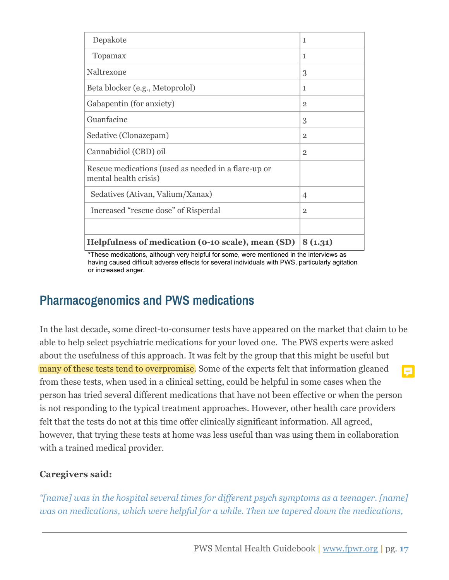| Depakote                                                                     | $\mathbf{1}$   |
|------------------------------------------------------------------------------|----------------|
| Topamax                                                                      | 1              |
| Naltrexone                                                                   | 3              |
| Beta blocker (e.g., Metoprolol)                                              | 1              |
| Gabapentin (for anxiety)                                                     | $\overline{2}$ |
| Guanfacine                                                                   | 3              |
| Sedative (Clonazepam)                                                        | $\overline{2}$ |
| Cannabidiol (CBD) oil                                                        | $\overline{2}$ |
| Rescue medications (used as needed in a flare-up or<br>mental health crisis) |                |
| Sedatives (Ativan, Valium/Xanax)                                             | $\overline{4}$ |
| Increased "rescue dose" of Risperdal                                         | $\overline{2}$ |
|                                                                              |                |
| Helpfulness of medication (0-10 scale), mean (SD)                            | 8(1.31)        |

\*These medications, although very helpful for some, were mentioned in the interviews as having caused difficult adverse effects for several individuals with PWS, particularly agitation or increased anger.

### **Pharmacogenomics and PWS medications**

In the last decade, some direct-to-consumer tests have appeared on the market that claim to be able to help select psychiatric medications for your loved one. The PWS experts were asked about the usefulness of this approach. It was felt by the group that this might be useful but many of these tests tend to overpromise. Some of the experts felt that information gleaned from these tests, when used in a clinical setting, could be helpful in some cases when the person has tried several different medications that have not been effective or when the person is not responding to the typical treatment approaches. However, other health care providers felt that the tests do not at this time offer clinically significant information. All agreed, however, that trying these tests at home was less useful than was using them in collaboration with a trained medical provider.

#### **Caregivers said:**

*"[name] was in the hospital several times for different psych symptoms as a teenager. [name] was on medications, which were helpful for a while. Then we tapered down the medications,*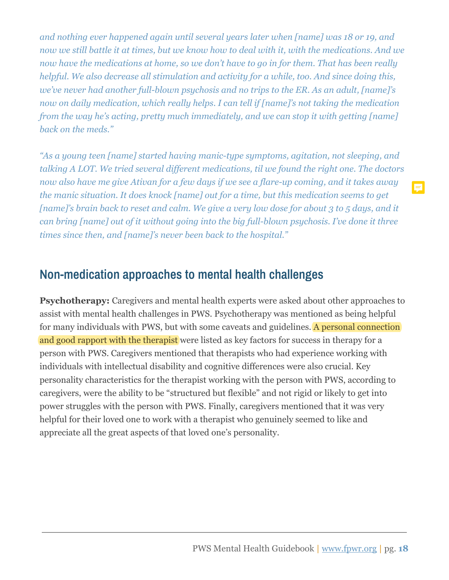*and nothing ever happened again until several years later when [name] was 18 or 19, and now we still battle it at times, but we know how to deal with it, with the medications. And we now have the medications at home, so we don't have to go in for them. That has been really helpful. We also decrease all stimulation and activity for a while, too. And since doing this, we've never had another full-blown psychosis and no trips to the ER. As an adult, [name]'s now on daily medication, which really helps. I can tell if [name]'s not taking the medication from the way he's acting, pretty much immediately, and we can stop it with getting [name] back on the meds."*

*"As a young teen [name] started having manic-type symptoms, agitation, not sleeping, and talking A LOT. We tried several different medications, til we found the right one. The doctors now also have me give Ativan for a few days if we see a flare-up coming, and it takes away the manic situation. It does knock [name] out for a time, but this medication seems to get [name]'s brain back to reset and calm. We give a very low dose for about 3 to 5 days, and it can bring [name] out of it without going into the big full-blown psychosis. I've done it three times since then, and [name]'s never been back to the hospital."*

#### <span id="page-18-0"></span>**Non-medication approaches to mental health challenges**

**Psychotherapy:** Caregivers and mental health experts were asked about other approaches to assist with mental health challenges in PWS. Psychotherapy was mentioned as being helpful for many individuals with PWS, but with some caveats and guidelines. A personal connection and good rapport with the therapist were listed as key factors for success in therapy for a person with PWS. Caregivers mentioned that therapists who had experience working with individuals with intellectual disability and cognitive differences were also crucial. Key personality characteristics for the therapist working with the person with PWS, according to caregivers, were the ability to be "structured but flexible" and not rigid or likely to get into power struggles with the person with PWS. Finally, caregivers mentioned that it was very helpful for their loved one to work with a therapist who genuinely seemed to like and appreciate all the great aspects of that loved one's personality.

Ę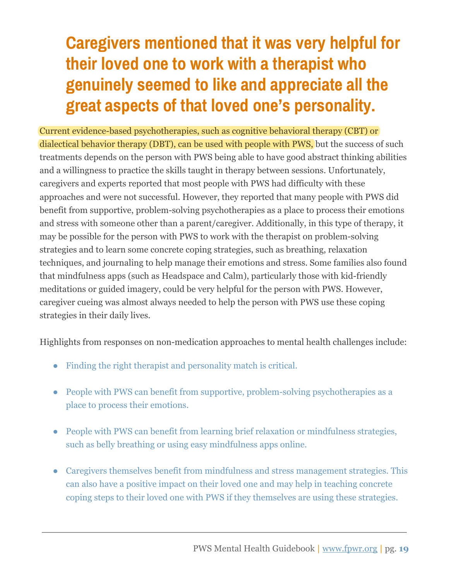### **Caregivers mentioned that it was very helpful for their loved one to work with a therapist who genuinely seemed to like and appreciate all the great aspects of that loved one's personality.**

Current evidence-based psychotherapies, such as cognitive behavioral therapy (CBT) or dialectical behavior therapy (DBT), can be used with people with PWS, but the success of such treatments depends on the person with PWS being able to have good abstract thinking abilities and a willingness to practice the skills taught in therapy between sessions. Unfortunately, caregivers and experts reported that most people with PWS had difficulty with these approaches and were not successful. However, they reported that many people with PWS did benefit from supportive, problem-solving psychotherapies as a place to process their emotions and stress with someone other than a parent/caregiver. Additionally, in this type of therapy, it may be possible for the person with PWS to work with the therapist on problem-solving strategies and to learn some concrete coping strategies, such as breathing, relaxation techniques, and journaling to help manage their emotions and stress. Some families also found that mindfulness apps (such as Headspace and Calm), particularly those with kid-friendly meditations or guided imagery, could be very helpful for the person with PWS. However, caregiver cueing was almost always needed to help the person with PWS use these coping strategies in their daily lives.

Highlights from responses on non-medication approaches to mental health challenges include:

- Finding the right therapist and personality match is critical.
- People with PWS can benefit from supportive, problem-solving psychotherapies as a place to process their emotions.
- People with PWS can benefit from learning brief relaxation or mindfulness strategies, such as belly breathing or using easy mindfulness apps online.
- Caregivers themselves benefit from mindfulness and stress management strategies. This can also have a positive impact on their loved one and may help in teaching concrete coping steps to their loved one with PWS if they themselves are using these strategies.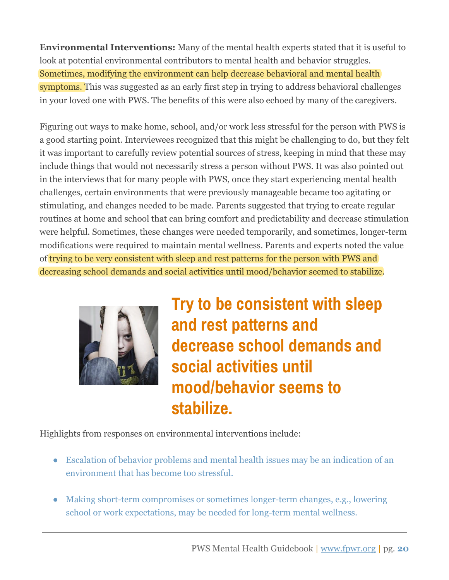**Environmental Interventions:** Many of the mental health experts stated that it is useful to look at potential environmental contributors to mental health and behavior struggles. Sometimes, modifying the environment can help decrease behavioral and mental health symptoms. This was suggested as an early first step in trying to address behavioral challenges in your loved one with PWS. The benefits of this were also echoed by many of the caregivers.

Figuring out ways to make home, school, and/or work less stressful for the person with PWS is a good starting point. Interviewees recognized that this might be challenging to do, but they felt it was important to carefully review potential sources of stress, keeping in mind that these may include things that would not necessarily stress a person without PWS. It was also pointed out in the interviews that for many people with PWS, once they start experiencing mental health challenges, certain environments that were previously manageable became too agitating or stimulating, and changes needed to be made. Parents suggested that trying to create regular routines at home and school that can bring comfort and predictability and decrease stimulation were helpful. Sometimes, these changes were needed temporarily, and sometimes, longer-term modifications were required to maintain mental wellness. Parents and experts noted the value of trying to be very consistent with sleep and rest patterns for the person with PWS and decreasing school demands and social activities until mood/behavior seemed to stabilize.



**Try to be consistent with sleep and rest patterns and decrease school demands and social activities until mood/behavior seems to stabilize.**

Highlights from responses on environmental interventions include:

- Escalation of behavior problems and mental health issues may be an indication of an environment that has become too stressful.
- Making short-term compromises or sometimes longer-term changes, e.g., lowering school or work expectations, may be needed for long-term mental wellness.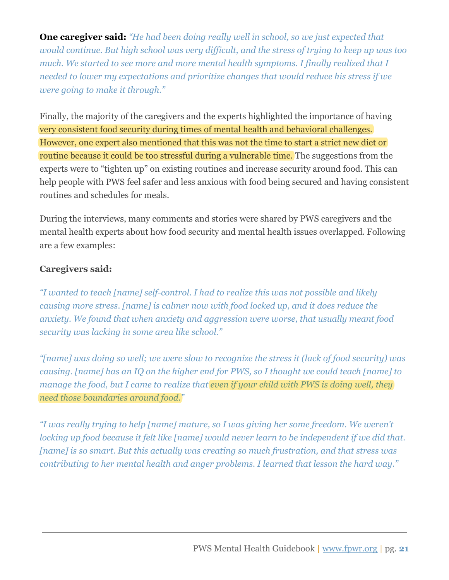**One caregiver said:** *"He had been doing really well in school, so we just expected that would continue. But high school was very difficult, and the stress of trying to keep up was too much. We started to see more and more mental health symptoms. I finally realized that I needed to lower my expectations and prioritize changes that would reduce his stress if we were going to make it through."*

Finally, the majority of the caregivers and the experts highlighted the importance of having very consistent food security during times of mental health and behavioral challenges. However, one expert also mentioned that this was not the time to start a strict new diet or routine because it could be too stressful during a vulnerable time. The suggestions from the experts were to "tighten up" on existing routines and increase security around food. This can help people with PWS feel safer and less anxious with food being secured and having consistent routines and schedules for meals.

During the interviews, many comments and stories were shared by PWS caregivers and the mental health experts about how food security and mental health issues overlapped. Following are a few examples:

#### **Caregivers said:**

*"I wanted to teach [name] self-control. I had to realize this was not possible and likely causing more stress. [name] is calmer now with food locked up, and it does reduce the anxiety. We found that when anxiety and aggression were worse, that usually meant food security was lacking in some area like school."*

*"[name] was doing so well; we were slow to recognize the stress it (lack of food security) was causing. [name] has an IQ on the higher end for PWS, so I thought we could teach [name] to manage the food, but I came to realize that even if your child with PWS is doing well, they need those boundaries around food."*

*"I was really trying to help [name] mature, so I was giving her some freedom. We weren't locking up food because it felt like [name] would never learn to be independent if we did that. [name] is so smart. But this actually was creating so much frustration, and that stress was contributing to her mental health and anger problems. I learned that lesson the hard way."*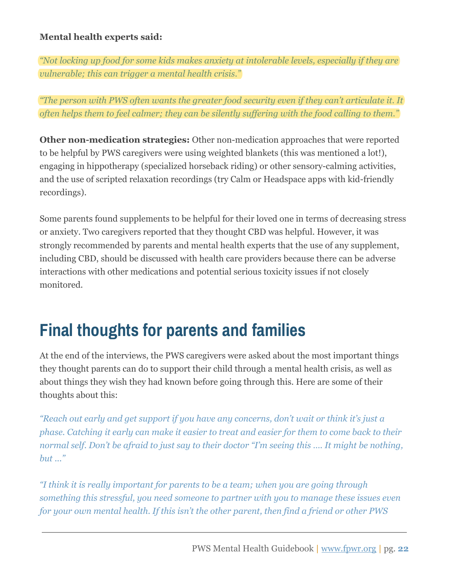#### **Mental health experts said:**

*"Not locking up food for some kids makes anxiety at intolerable levels, especially if they are vulnerable; this can trigger a mental health crisis."*

*"The person with PWS often wants the greater food security even if they can't articulate it. It often helps them to feel calmer; they can be silently suffering with the food calling to them."*

**Other non-medication strategies:** Other non-medication approaches that were reported to be helpful by PWS caregivers were using weighted blankets (this was mentioned a lot!), engaging in hippotherapy (specialized horseback riding) or other sensory-calming activities, and the use of scripted relaxation recordings (try Calm or Headspace apps with kid-friendly recordings).

Some parents found supplements to be helpful for their loved one in terms of decreasing stress or anxiety. Two caregivers reported that they thought CBD was helpful. However, it was strongly recommended by parents and mental health experts that the use of any supplement, including CBD, should be discussed with health care providers because there can be adverse interactions with other medications and potential serious toxicity issues if not closely monitored.

### <span id="page-22-0"></span>**Final thoughts for parents and families**

At the end of the interviews, the PWS caregivers were asked about the most important things they thought parents can do to support their child through a mental health crisis, as well as about things they wish they had known before going through this. Here are some of their thoughts about this:

*"Reach out early and get support if you have any concerns, don't wait or think it's just a phase. Catching it early can make it easier to treat and easier for them to come back to their normal self. Don't be afraid to just say to their doctor "I'm seeing this …. It might be nothing, but ..."*

*"I think it is really important for parents to be a team; when you are going through something this stressful, you need someone to partner with you to manage these issues even for your own mental health. If this isn't the other parent, then find a friend or other PWS*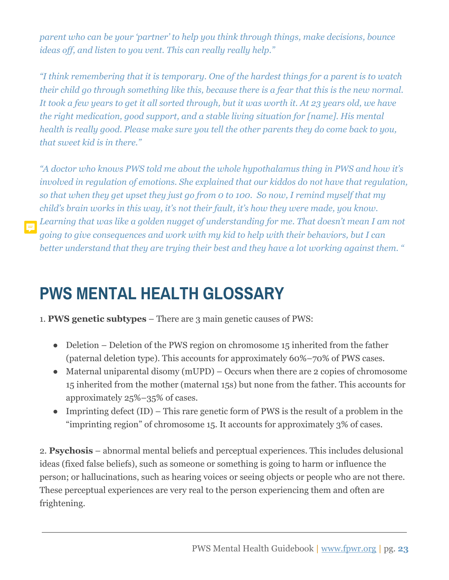*parent who can be your 'partner' to help you think through things, make decisions, bounce ideas off, and listen to you vent. This can really really help."*

*"I think remembering that it is temporary. One of the hardest things for a parent is to watch their child go through something like this, because there is a fear that this is the new normal. It took a few years to get it all sorted through, but it was worth it. At 23 years old, we have the right medication, good support, and a stable living situation for [name]. His mental health is really good. Please make sure you tell the other parents they do come back to you, that sweet kid is in there."*

*"A doctor who knows PWS told me about the whole hypothalamus thing in PWS and how it's involved in regulation of emotions. She explained that our kiddos do not have that regulation, so that when they get upset they just go from 0 to 100. So now, I remind myself that my child's brain works in this way, it's not their fault, it's how they were made, you know. Learning that was like a golden nugget of understanding for me. That doesn't mean I am not going to give consequences and work with my kid to help with their behaviors, but I can better understand that they are trying their best and they have a lot working against them. "*

### <span id="page-23-0"></span>**PWS MENTAL HEALTH GLOSSARY**

<span id="page-23-1"></span>1. **PWS genetic subtypes** – There are 3 main genetic causes of PWS:

- Deletion Deletion of the PWS region on chromosome 15 inherited from the father (paternal deletion type). This accounts for approximately 60%–70% of PWS cases.
- $\bullet$  Maternal uniparental disomy (mUPD) Occurs when there are 2 copies of chromosome 15 inherited from the mother (maternal 15s) but none from the father. This accounts for approximately 25%–35% of cases.
- Imprinting defect  $(ID)$  This rare genetic form of PWS is the result of a problem in the "imprinting region" of chromosome 15. It accounts for approximately 3% of cases.

<span id="page-23-2"></span>2. **Psychosis** – abnormal mental beliefs and perceptual experiences. This includes delusional ideas (fixed false beliefs), such as someone or something is going to harm or influence the person; or hallucinations, such as hearing voices or seeing objects or people who are not there. These perceptual experiences are very real to the person experiencing them and often are frightening.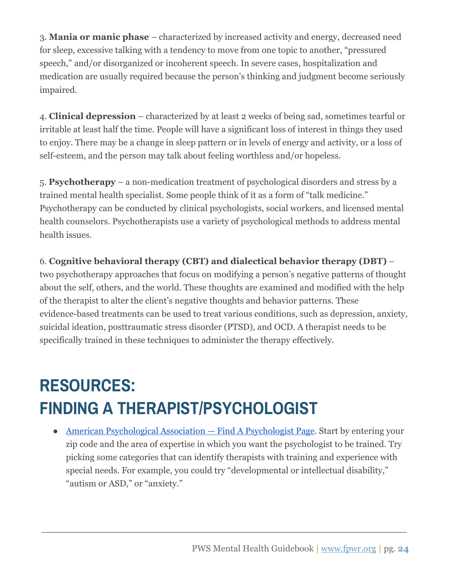<span id="page-24-2"></span>3. **Mania or manic phase** – characterized by increased activity and energy, decreased need for sleep, excessive talking with a tendency to move from one topic to another, "pressured speech," and/or disorganized or incoherent speech. In severe cases, hospitalization and medication are usually required because the person's thinking and judgment become seriously impaired.

<span id="page-24-1"></span>4. **Clinical depression** – characterized by at least 2 weeks of being sad, sometimes tearful or irritable at least half the time. People will have a significant loss of interest in things they used to enjoy. There may be a change in sleep pattern or in levels of energy and activity, or a loss of self-esteem, and the person may talk about feeling worthless and/or hopeless.

5. **Psychotherapy** – a non-medication treatment of psychological disorders and stress by a trained mental health specialist. Some people think of it as a form of "talk medicine." Psychotherapy can be conducted by clinical psychologists, social workers, and licensed mental health counselors. Psychotherapists use a variety of psychological methods to address mental health issues.

6. **Cognitive behavioral therapy (CBT) and dialectical behavior therapy (DBT)** – two psychotherapy approaches that focus on modifying a person's negative patterns of thought about the self, others, and the world. These thoughts are examined and modified with the help of the therapist to alter the client's negative thoughts and behavior patterns. These evidence-based treatments can be used to treat various conditions, such as depression, anxiety, suicidal ideation, posttraumatic stress disorder (PTSD), and OCD. A therapist needs to be

### <span id="page-24-0"></span>**RESOURCES: FINDING A THERAPIST/PSYCHOLOGIST**

specifically trained in these techniques to administer the therapy effectively.

[American Psychological Association — Find A Psychologist Page](https://locator.apa.org/). Start by entering your zip code and the area of expertise in which you want the psychologist to be trained. Try picking some categories that can identify therapists with training and experience with special needs. For example, you could try "developmental or intellectual disability," "autism or ASD," or "anxiety."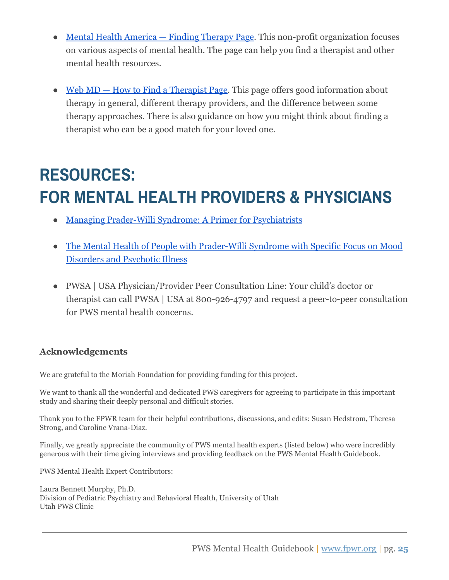- [Mental Health America Finding Therapy Page](https://www.mhanational.org/finding-therapy). This non-profit organization focuses on various aspects of mental health. The page can help you find a therapist and other mental health resources.
- [Web MD How to Find a Therapist Page](https://www.webmd.com/mental-health/features/how-to-find-therapist#1). This page offers good information about therapy in general, different therapy providers, and the difference between some therapy approaches. There is also guidance on how you might think about finding a therapist who can be a good match for your loved one.

### **RESOURCES: FOR MENTAL HEALTH PROVIDERS & PHYSICIANS**

- [Managing Prader-Willi Syndrome: A Primer for Psychiatrists](https://pittsburghpartnership.com/handouts/Pittsburgh%20Partnership%20Psychiatrists%20Primer%20for%20Care%20of%20PWS%20(2).pdf)
- [The Mental Health of People with Prader-Willi Syndrome with Specific Focus on Mood](https://www.ipwso.org/mental-health-in-pws) [Disorders and Psychotic Illness](https://www.ipwso.org/mental-health-in-pws)
- PWSA | USA Physician/Provider Peer Consultation Line: Your child's doctor or therapist can call PWSA | USA at 800-926-4797 and request a peer-to-peer consultation for PWS mental health concerns.

#### **Acknowledgements**

We are grateful to the Moriah Foundation for providing funding for this project.

We want to thank all the wonderful and dedicated PWS caregivers for agreeing to participate in this important study and sharing their deeply personal and difficult stories.

Thank you to the FPWR team for their helpful contributions, discussions, and edits: Susan Hedstrom, Theresa Strong, and Caroline Vrana-Diaz.

Finally, we greatly appreciate the community of PWS mental health experts (listed below) who were incredibly generous with their time giving interviews and providing feedback on the PWS Mental Health Guidebook.

PWS Mental Health Expert Contributors:

Laura Bennett Murphy, Ph.D. Division of Pediatric Psychiatry and Behavioral Health, University of Utah Utah PWS Clinic